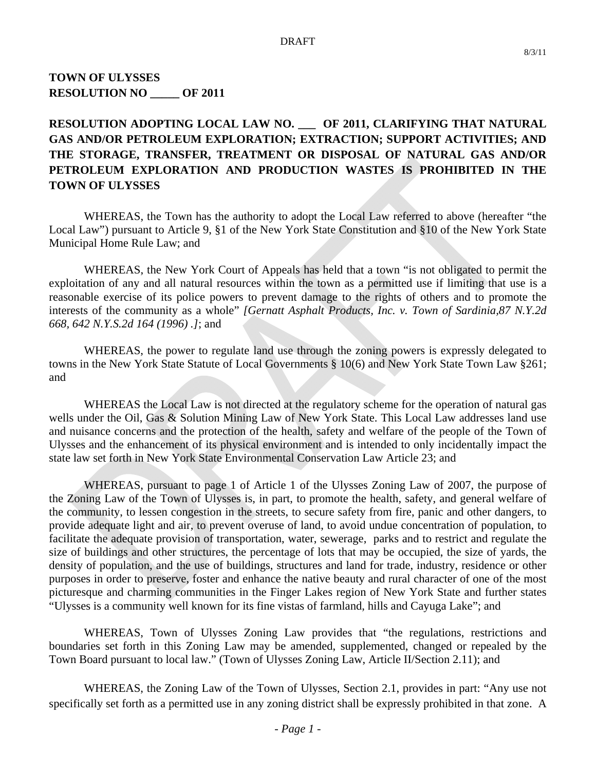# **TOWN OF ULYSSES RESOLUTION NO \_\_\_\_\_ OF 2011**

# **RESOLUTION ADOPTING LOCAL LAW NO. \_\_\_ OF 2011, CLARIFYING THAT NATURAL GAS AND/OR PETROLEUM EXPLORATION; EXTRACTION; SUPPORT ACTIVITIES; AND THE STORAGE, TRANSFER, TREATMENT OR DISPOSAL OF NATURAL GAS AND/OR PETROLEUM EXPLORATION AND PRODUCTION WASTES IS PROHIBITED IN THE TOWN OF ULYSSES**

 WHEREAS, the Town has the authority to adopt the Local Law referred to above (hereafter "the Local Law") pursuant to Article 9, §1 of the New York State Constitution and §10 of the New York State Municipal Home Rule Law; and

 WHEREAS, the New York Court of Appeals has held that a town "is not obligated to permit the exploitation of any and all natural resources within the town as a permitted use if limiting that use is a reasonable exercise of its police powers to prevent damage to the rights of others and to promote the interests of the community as a whole" *[Gernatt Asphalt Products, Inc. v. Town of Sardinia,87 N.Y.2d 668, 642 N.Y.S.2d 164 (1996) .]*; and

 WHEREAS, the power to regulate land use through the zoning powers is expressly delegated to towns in the New York State Statute of Local Governments § 10(6) and New York State Town Law §261; and

 WHEREAS the Local Law is not directed at the regulatory scheme for the operation of natural gas wells under the Oil, Gas & Solution Mining Law of New York State. This Local Law addresses land use and nuisance concerns and the protection of the health, safety and welfare of the people of the Town of Ulysses and the enhancement of its physical environment and is intended to only incidentally impact the state law set forth in New York State Environmental Conservation Law Article 23; and

 WHEREAS, pursuant to page 1 of Article 1 of the Ulysses Zoning Law of 2007, the purpose of the Zoning Law of the Town of Ulysses is, in part, to promote the health, safety, and general welfare of the community, to lessen congestion in the streets, to secure safety from fire, panic and other dangers, to provide adequate light and air, to prevent overuse of land, to avoid undue concentration of population, to facilitate the adequate provision of transportation, water, sewerage, parks and to restrict and regulate the size of buildings and other structures, the percentage of lots that may be occupied, the size of yards, the density of population, and the use of buildings, structures and land for trade, industry, residence or other purposes in order to preserve, foster and enhance the native beauty and rural character of one of the most picturesque and charming communities in the Finger Lakes region of New York State and further states "Ulysses is a community well known for its fine vistas of farmland, hills and Cayuga Lake"; and

 WHEREAS, Town of Ulysses Zoning Law provides that "the regulations, restrictions and boundaries set forth in this Zoning Law may be amended, supplemented, changed or repealed by the Town Board pursuant to local law." (Town of Ulysses Zoning Law, Article II/Section 2.11); and

 WHEREAS, the Zoning Law of the Town of Ulysses, Section 2.1, provides in part: "Any use not specifically set forth as a permitted use in any zoning district shall be expressly prohibited in that zone. A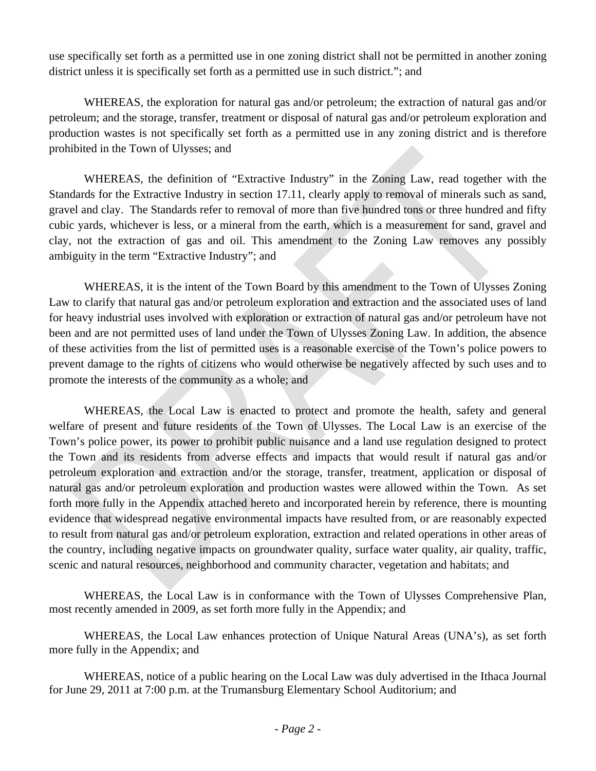use specifically set forth as a permitted use in one zoning district shall not be permitted in another zoning district unless it is specifically set forth as a permitted use in such district."; and

 WHEREAS, the exploration for natural gas and/or petroleum; the extraction of natural gas and/or petroleum; and the storage, transfer, treatment or disposal of natural gas and/or petroleum exploration and production wastes is not specifically set forth as a permitted use in any zoning district and is therefore prohibited in the Town of Ulysses; and

 WHEREAS, the definition of "Extractive Industry" in the Zoning Law, read together with the Standards for the Extractive Industry in section 17.11, clearly apply to removal of minerals such as sand, gravel and clay. The Standards refer to removal of more than five hundred tons or three hundred and fifty cubic yards, whichever is less, or a mineral from the earth, which is a measurement for sand, gravel and clay, not the extraction of gas and oil. This amendment to the Zoning Law removes any possibly ambiguity in the term "Extractive Industry"; and

 WHEREAS, it is the intent of the Town Board by this amendment to the Town of Ulysses Zoning Law to clarify that natural gas and/or petroleum exploration and extraction and the associated uses of land for heavy industrial uses involved with exploration or extraction of natural gas and/or petroleum have not been and are not permitted uses of land under the Town of Ulysses Zoning Law. In addition, the absence of these activities from the list of permitted uses is a reasonable exercise of the Town's police powers to prevent damage to the rights of citizens who would otherwise be negatively affected by such uses and to promote the interests of the community as a whole; and

 WHEREAS, the Local Law is enacted to protect and promote the health, safety and general welfare of present and future residents of the Town of Ulysses. The Local Law is an exercise of the Town's police power, its power to prohibit public nuisance and a land use regulation designed to protect the Town and its residents from adverse effects and impacts that would result if natural gas and/or petroleum exploration and extraction and/or the storage, transfer, treatment, application or disposal of natural gas and/or petroleum exploration and production wastes were allowed within the Town. As set forth more fully in the Appendix attached hereto and incorporated herein by reference, there is mounting evidence that widespread negative environmental impacts have resulted from, or are reasonably expected to result from natural gas and/or petroleum exploration, extraction and related operations in other areas of the country, including negative impacts on groundwater quality, surface water quality, air quality, traffic, scenic and natural resources, neighborhood and community character, vegetation and habitats; and

 WHEREAS, the Local Law is in conformance with the Town of Ulysses Comprehensive Plan, most recently amended in 2009, as set forth more fully in the Appendix; and

 WHEREAS, the Local Law enhances protection of Unique Natural Areas (UNA's), as set forth more fully in the Appendix; and

 WHEREAS, notice of a public hearing on the Local Law was duly advertised in the Ithaca Journal for June 29, 2011 at 7:00 p.m. at the Trumansburg Elementary School Auditorium; and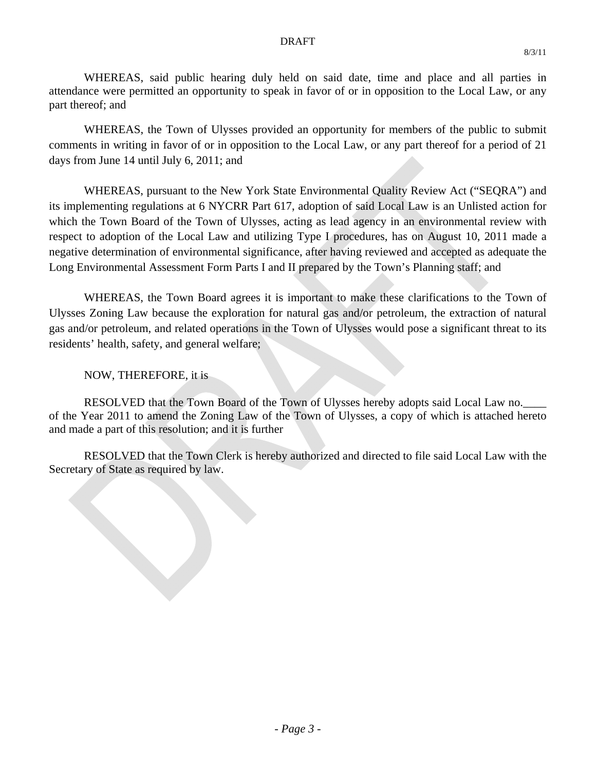#### DRAFT

 WHEREAS, said public hearing duly held on said date, time and place and all parties in attendance were permitted an opportunity to speak in favor of or in opposition to the Local Law, or any part thereof; and

WHEREAS, the Town of Ulysses provided an opportunity for members of the public to submit comments in writing in favor of or in opposition to the Local Law, or any part thereof for a period of 21 days from June 14 until July 6, 2011; and

 WHEREAS, pursuant to the New York State Environmental Quality Review Act ("SEQRA") and its implementing regulations at 6 NYCRR Part 617, adoption of said Local Law is an Unlisted action for which the Town Board of the Town of Ulysses, acting as lead agency in an environmental review with respect to adoption of the Local Law and utilizing Type I procedures, has on August 10, 2011 made a negative determination of environmental significance, after having reviewed and accepted as adequate the Long Environmental Assessment Form Parts I and II prepared by the Town's Planning staff; and

WHEREAS, the Town Board agrees it is important to make these clarifications to the Town of Ulysses Zoning Law because the exploration for natural gas and/or petroleum, the extraction of natural gas and/or petroleum, and related operations in the Town of Ulysses would pose a significant threat to its residents' health, safety, and general welfare;

NOW, THEREFORE, it is

RESOLVED that the Town Board of the Town of Ulysses hereby adopts said Local Law no. of the Year 2011 to amend the Zoning Law of the Town of Ulysses, a copy of which is attached hereto and made a part of this resolution; and it is further

 RESOLVED that the Town Clerk is hereby authorized and directed to file said Local Law with the Secretary of State as required by law.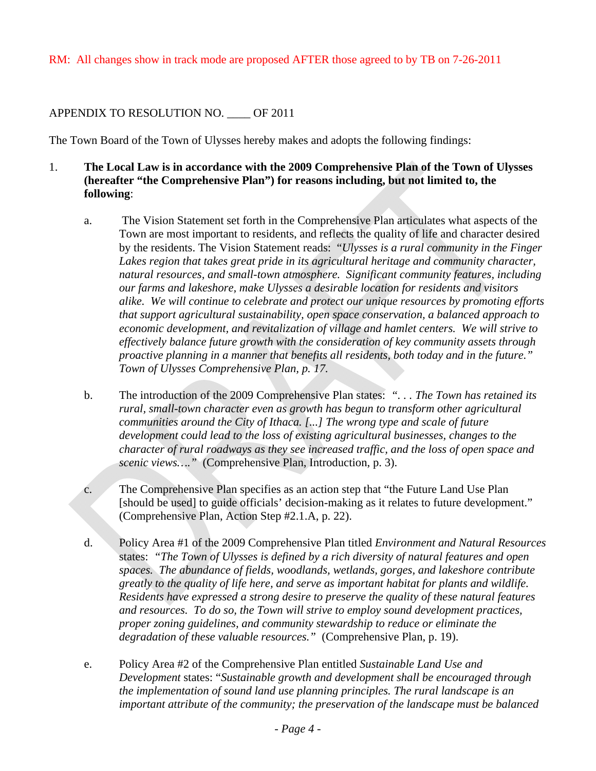# APPENDIX TO RESOLUTION NO. OF 2011

The Town Board of the Town of Ulysses hereby makes and adopts the following findings:

- 1. **The Local Law is in accordance with the 2009 Comprehensive Plan of the Town of Ulysses (hereafter "the Comprehensive Plan") for reasons including, but not limited to, the following**:
	- a. The Vision Statement set forth in the Comprehensive Plan articulates what aspects of the Town are most important to residents, and reflects the quality of life and character desired by the residents. The Vision Statement reads: "*Ulysses is a rural community in the Finger*  Lakes region that takes great pride in its agricultural heritage and community character, *natural resources, and small-town atmosphere. Significant community features, including our farms and lakeshore, make Ulysses a desirable location for residents and visitors alike. We will continue to celebrate and protect our unique resources by promoting efforts that support agricultural sustainability, open space conservation, a balanced approach to economic development, and revitalization of village and hamlet centers. We will strive to effectively balance future growth with the consideration of key community assets through proactive planning in a manner that benefits all residents, both today and in the future." Town of Ulysses Comprehensive Plan, p. 17.*
	- b. The introduction of the 2009 Comprehensive Plan states: *". . . The Town has retained its rural, small-town character even as growth has begun to transform other agricultural communities around the City of Ithaca. [...] The wrong type and scale of future development could lead to the loss of existing agricultural businesses, changes to the character of rural roadways as they see increased traffic, and the loss of open space and scenic views…."* (Comprehensive Plan, Introduction, p. 3).
	- c. The Comprehensive Plan specifies as an action step that "the Future Land Use Plan [should be used] to guide officials' decision-making as it relates to future development." (Comprehensive Plan, Action Step #2.1.A, p. 22).
	- d. Policy Area #1 of the 2009 Comprehensive Plan titled *Environment and Natural Resources* states: *"The Town of Ulysses is defined by a rich diversity of natural features and open spaces. The abundance of fields, woodlands, wetlands, gorges, and lakeshore contribute greatly to the quality of life here, and serve as important habitat for plants and wildlife. Residents have expressed a strong desire to preserve the quality of these natural features and resources. To do so, the Town will strive to employ sound development practices, proper zoning guidelines, and community stewardship to reduce or eliminate the degradation of these valuable resources."* (Comprehensive Plan, p. 19).
	- e. Policy Area #2 of the Comprehensive Plan entitled *Sustainable Land Use and Development* states: "*Sustainable growth and development shall be encouraged through the implementation of sound land use planning principles. The rural landscape is an important attribute of the community; the preservation of the landscape must be balanced*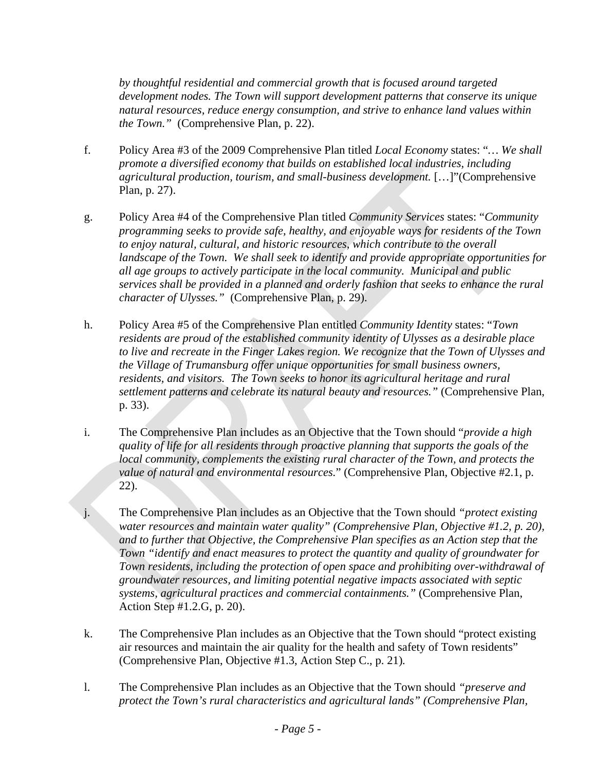*by thoughtful residential and commercial growth that is focused around targeted development nodes. The Town will support development patterns that conserve its unique natural resources, reduce energy consumption, and strive to enhance land values within the Town."* (Comprehensive Plan, p. 22).

- f. Policy Area #3 of the 2009 Comprehensive Plan titled *Local Economy* states: "*… We shall promote a diversified economy that builds on established local industries, including agricultural production, tourism, and small-business development.* […]"(Comprehensive Plan, p. 27).
- g. Policy Area #4 of the Comprehensive Plan titled *Community Services* states: "*Community programming seeks to provide safe, healthy, and enjoyable ways for residents of the Town to enjoy natural, cultural, and historic resources, which contribute to the overall landscape of the Town. We shall seek to identify and provide appropriate opportunities for all age groups to actively participate in the local community. Municipal and public services shall be provided in a planned and orderly fashion that seeks to enhance the rural character of Ulysses."* (Comprehensive Plan, p. 29).
- h. Policy Area #5 of the Comprehensive Plan entitled *Community Identity* states: "*Town residents are proud of the established community identity of Ulysses as a desirable place to live and recreate in the Finger Lakes region. We recognize that the Town of Ulysses and the Village of Trumansburg offer unique opportunities for small business owners, residents, and visitors. The Town seeks to honor its agricultural heritage and rural settlement patterns and celebrate its natural beauty and resources."* (Comprehensive Plan, p. 33).
- i. The Comprehensive Plan includes as an Objective that the Town should "*provide a high quality of life for all residents through proactive planning that supports the goals of the local community, complements the existing rural character of the Town, and protects the value of natural and environmental resources.*" (Comprehensive Plan, Objective #2.1, p. 22).
- j. The Comprehensive Plan includes as an Objective that the Town should *"protect existing water resources and maintain water quality" (Comprehensive Plan, Objective #1.2, p. 20), and to further that Objective, the Comprehensive Plan specifies as an Action step that the Town "identify and enact measures to protect the quantity and quality of groundwater for Town residents, including the protection of open space and prohibiting over-withdrawal of groundwater resources, and limiting potential negative impacts associated with septic systems, agricultural practices and commercial containments."* (Comprehensive Plan, Action Step #1.2.G, p. 20).
- k. The Comprehensive Plan includes as an Objective that the Town should "protect existing air resources and maintain the air quality for the health and safety of Town residents" (Comprehensive Plan, Objective #1.3, Action Step C., p. 21)*.*
- l. The Comprehensive Plan includes as an Objective that the Town should *"preserve and protect the Town's rural characteristics and agricultural lands" (Comprehensive Plan,*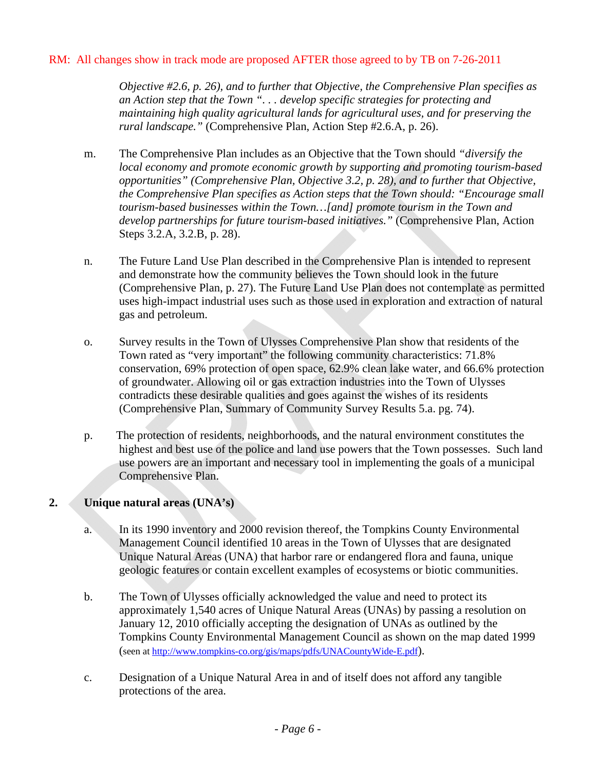*Objective #2.6, p. 26), and to further that Objective, the Comprehensive Plan specifies as an Action step that the Town ". . . develop specific strategies for protecting and maintaining high quality agricultural lands for agricultural uses, and for preserving the rural landscape."* (Comprehensive Plan, Action Step #2.6.A, p. 26).

- m. The Comprehensive Plan includes as an Objective that the Town should *"diversify the local economy and promote economic growth by supporting and promoting tourism-based opportunities" (Comprehensive Plan, Objective 3.2, p. 28), and to further that Objective, the Comprehensive Plan specifies as Action steps that the Town should: "Encourage small tourism-based businesses within the Town…[and] promote tourism in the Town and develop partnerships for future tourism-based initiatives."* (Comprehensive Plan, Action Steps 3.2.A, 3.2.B, p. 28).
- n. The Future Land Use Plan described in the Comprehensive Plan is intended to represent and demonstrate how the community believes the Town should look in the future (Comprehensive Plan, p. 27). The Future Land Use Plan does not contemplate as permitted uses high-impact industrial uses such as those used in exploration and extraction of natural gas and petroleum.
- o. Survey results in the Town of Ulysses Comprehensive Plan show that residents of the Town rated as "very important" the following community characteristics: 71.8% conservation, 69% protection of open space, 62.9% clean lake water, and 66.6% protection of groundwater. Allowing oil or gas extraction industries into the Town of Ulysses contradicts these desirable qualities and goes against the wishes of its residents (Comprehensive Plan, Summary of Community Survey Results 5.a. pg. 74).
- p. The protection of residents, neighborhoods, and the natural environment constitutes the highest and best use of the police and land use powers that the Town possesses. Such land use powers are an important and necessary tool in implementing the goals of a municipal Comprehensive Plan.

# **2. Unique natural areas (UNA's)**

- a. In its 1990 inventory and 2000 revision thereof, the Tompkins County Environmental Management Council identified 10 areas in the Town of Ulysses that are designated Unique Natural Areas (UNA) that harbor rare or endangered flora and fauna, unique geologic features or contain excellent examples of ecosystems or biotic communities.
- b. The Town of Ulysses officially acknowledged the value and need to protect its approximately 1,540 acres of Unique Natural Areas (UNAs) by passing a resolution on January 12, 2010 officially accepting the designation of UNAs as outlined by the Tompkins County Environmental Management Council as shown on the map dated 1999 (seen at http://www.tompkins-co.org/gis/maps/pdfs/UNACountyWide-E.pdf).
- c. Designation of a Unique Natural Area in and of itself does not afford any tangible protections of the area.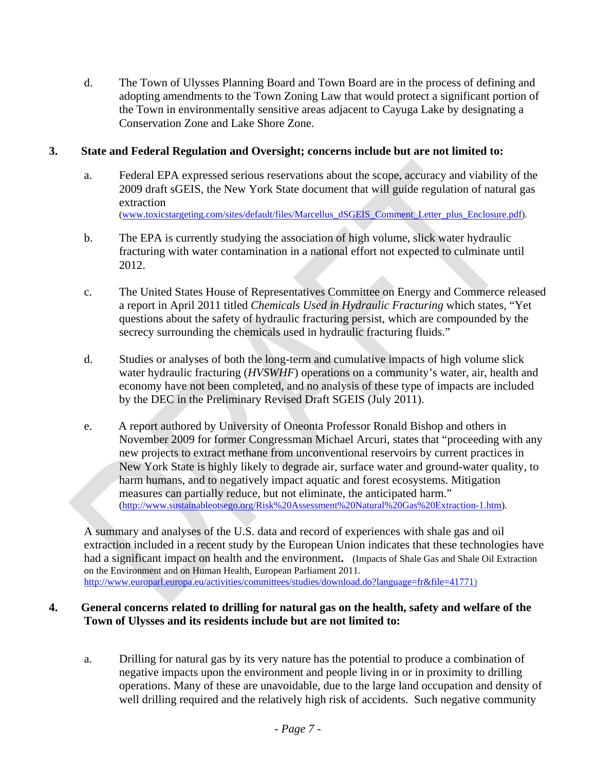d. The Town of Ulysses Planning Board and Town Board are in the process of defining and adopting amendments to the Town Zoning Law that would protect a significant portion of the Town in environmentally sensitive areas adjacent to Cayuga Lake by designating a Conservation Zone and Lake Shore Zone.

# **3. State and Federal Regulation and Oversight; concerns include but are not limited to:**

- a. Federal EPA expressed serious reservations about the scope, accuracy and viability of the 2009 draft sGEIS, the New York State document that will guide regulation of natural gas extraction (www.toxicstargeting.com/sites/default/files/Marcellus\_dSGEIS\_Comment\_Letter\_plus\_Enclosure.pdf).
- b. The EPA is currently studying the association of high volume, slick water hydraulic fracturing with water contamination in a national effort not expected to culminate until 2012.
- c. The United States House of Representatives Committee on Energy and Commerce released a report in April 2011 titled *Chemicals Used in Hydraulic Fracturing* which states, "Yet questions about the safety of hydraulic fracturing persist, which are compounded by the secrecy surrounding the chemicals used in hydraulic fracturing fluids."
- d. Studies or analyses of both the long-term and cumulative impacts of high volume slick water hydraulic fracturing (*HVSWHF*) operations on a community's water, air, health and economy have not been completed, and no analysis of these type of impacts are included by the DEC in the Preliminary Revised Draft SGEIS (July 2011).
- e. A report authored by University of Oneonta Professor Ronald Bishop and others in November 2009 for former Congressman Michael Arcuri, states that "proceeding with any new projects to extract methane from unconventional reservoirs by current practices in New York State is highly likely to degrade air, surface water and ground-water quality, to harm humans, and to negatively impact aquatic and forest ecosystems. Mitigation measures can partially reduce, but not eliminate, the anticipated harm." (http://www.sustainableotsego.org/Risk%20Assessment%20Natural%20Gas%20Extraction-1.htm).

A summary and analyses of the U.S. data and record of experiences with shale gas and oil extraction included in a recent study by the European Union indicates that these technologies have had a significant impact on health and the environment**.** (Impacts of Shale Gas and Shale Oil Extraction on the Environment and on Human Health, European Parliament 2011. http://www.europarl.europa.eu/activities/committees/studies/download.do?language=fr&file=41771)

#### **4. General concerns related to drilling for natural gas on the health, safety and welfare of the Town of Ulysses and its residents include but are not limited to:**

a. Drilling for natural gas by its very nature has the potential to produce a combination of negative impacts upon the environment and people living in or in proximity to drilling operations. Many of these are unavoidable, due to the large land occupation and density of well drilling required and the relatively high risk of accidents. Such negative community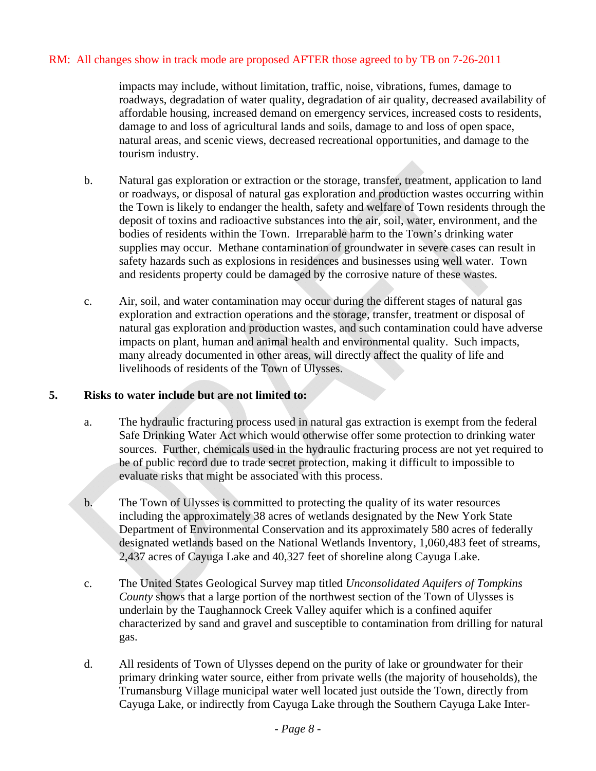impacts may include, without limitation, traffic, noise, vibrations, fumes, damage to roadways, degradation of water quality, degradation of air quality, decreased availability of affordable housing, increased demand on emergency services, increased costs to residents, damage to and loss of agricultural lands and soils, damage to and loss of open space, natural areas, and scenic views, decreased recreational opportunities, and damage to the tourism industry.

- b. Natural gas exploration or extraction or the storage, transfer, treatment, application to land or roadways, or disposal of natural gas exploration and production wastes occurring within the Town is likely to endanger the health, safety and welfare of Town residents through the deposit of toxins and radioactive substances into the air, soil, water, environment, and the bodies of residents within the Town. Irreparable harm to the Town's drinking water supplies may occur. Methane contamination of groundwater in severe cases can result in safety hazards such as explosions in residences and businesses using well water. Town and residents property could be damaged by the corrosive nature of these wastes.
- c. Air, soil, and water contamination may occur during the different stages of natural gas exploration and extraction operations and the storage, transfer, treatment or disposal of natural gas exploration and production wastes, and such contamination could have adverse impacts on plant, human and animal health and environmental quality. Such impacts, many already documented in other areas, will directly affect the quality of life and livelihoods of residents of the Town of Ulysses.

#### **5. Risks to water include but are not limited to:**

- a. The hydraulic fracturing process used in natural gas extraction is exempt from the federal Safe Drinking Water Act which would otherwise offer some protection to drinking water sources. Further, chemicals used in the hydraulic fracturing process are not yet required to be of public record due to trade secret protection, making it difficult to impossible to evaluate risks that might be associated with this process.
- b. The Town of Ulysses is committed to protecting the quality of its water resources including the approximately 38 acres of wetlands designated by the New York State Department of Environmental Conservation and its approximately 580 acres of federally designated wetlands based on the National Wetlands Inventory, 1,060,483 feet of streams, 2,437 acres of Cayuga Lake and 40,327 feet of shoreline along Cayuga Lake.
- c. The United States Geological Survey map titled *Unconsolidated Aquifers of Tompkins County* shows that a large portion of the northwest section of the Town of Ulysses is underlain by the Taughannock Creek Valley aquifer which is a confined aquifer characterized by sand and gravel and susceptible to contamination from drilling for natural gas.
- d. All residents of Town of Ulysses depend on the purity of lake or groundwater for their primary drinking water source, either from private wells (the majority of households), the Trumansburg Village municipal water well located just outside the Town, directly from Cayuga Lake, or indirectly from Cayuga Lake through the Southern Cayuga Lake Inter-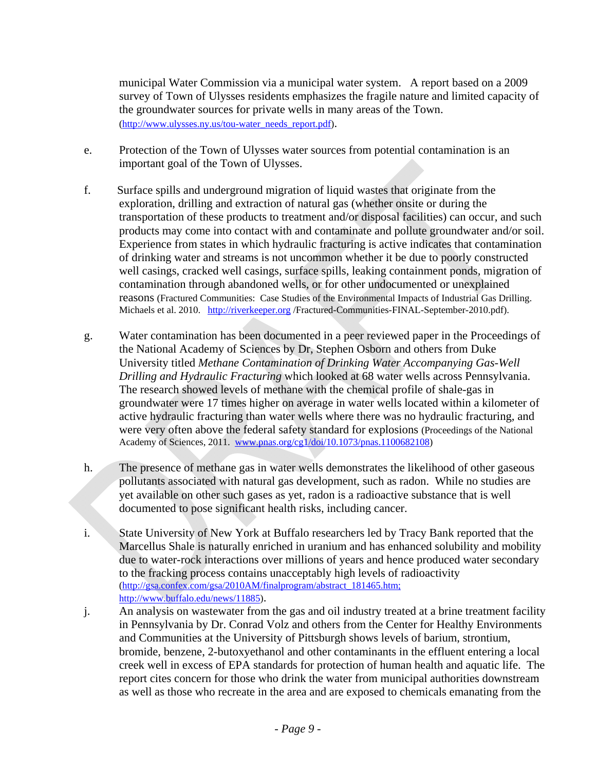municipal Water Commission via a municipal water system. A report based on a 2009 survey of Town of Ulysses residents emphasizes the fragile nature and limited capacity of the groundwater sources for private wells in many areas of the Town. (http://www.ulysses.ny.us/tou-water\_needs\_report.pdf).

- e. Protection of the Town of Ulysses water sources from potential contamination is an important goal of the Town of Ulysses.
- f. Surface spills and underground migration of liquid wastes that originate from the exploration, drilling and extraction of natural gas (whether onsite or during the transportation of these products to treatment and/or disposal facilities) can occur, and such products may come into contact with and contaminate and pollute groundwater and/or soil. Experience from states in which hydraulic fracturing is active indicates that contamination of drinking water and streams is not uncommon whether it be due to poorly constructed well casings, cracked well casings, surface spills, leaking containment ponds, migration of contamination through abandoned wells, or for other undocumented or unexplained reasons (Fractured Communities: Case Studies of the Environmental Impacts of Industrial Gas Drilling. Michaels et al. 2010. http://riverkeeper.org /Fractured-Communities-FINAL-September-2010.pdf).
- g. Water contamination has been documented in a peer reviewed paper in the Proceedings of the National Academy of Sciences by Dr, Stephen Osborn and others from Duke University titled *Methane Contamination of Drinking Water Accompanying Gas-Well Drilling and Hydraulic Fracturing* which looked at 68 water wells across Pennsylvania. The research showed levels of methane with the chemical profile of shale-gas in groundwater were 17 times higher on average in water wells located within a kilometer of active hydraulic fracturing than water wells where there was no hydraulic fracturing, and were very often above the federal safety standard for explosions (Proceedings of the National Academy of Sciences, 2011. www.pnas.org/cg1/doi/10.1073/pnas.1100682108)
- h. The presence of methane gas in water wells demonstrates the likelihood of other gaseous pollutants associated with natural gas development, such as radon. While no studies are yet available on other such gases as yet, radon is a radioactive substance that is well documented to pose significant health risks, including cancer.
- i. State University of New York at Buffalo researchers led by Tracy Bank reported that the Marcellus Shale is naturally enriched in uranium and has enhanced solubility and mobility due to water-rock interactions over millions of years and hence produced water secondary to the fracking process contains unacceptably high levels of radioactivity (http://gsa.confex.com/gsa/2010AM/finalprogram/abstract\_181465.htm; http://www.buffalo.edu/news/11885).
- j. An analysis on wastewater from the gas and oil industry treated at a brine treatment facility in Pennsylvania by Dr. Conrad Volz and others from the Center for Healthy Environments and Communities at the University of Pittsburgh shows levels of barium, strontium, bromide, benzene, 2-butoxyethanol and other contaminants in the effluent entering a local creek well in excess of EPA standards for protection of human health and aquatic life. The report cites concern for those who drink the water from municipal authorities downstream as well as those who recreate in the area and are exposed to chemicals emanating from the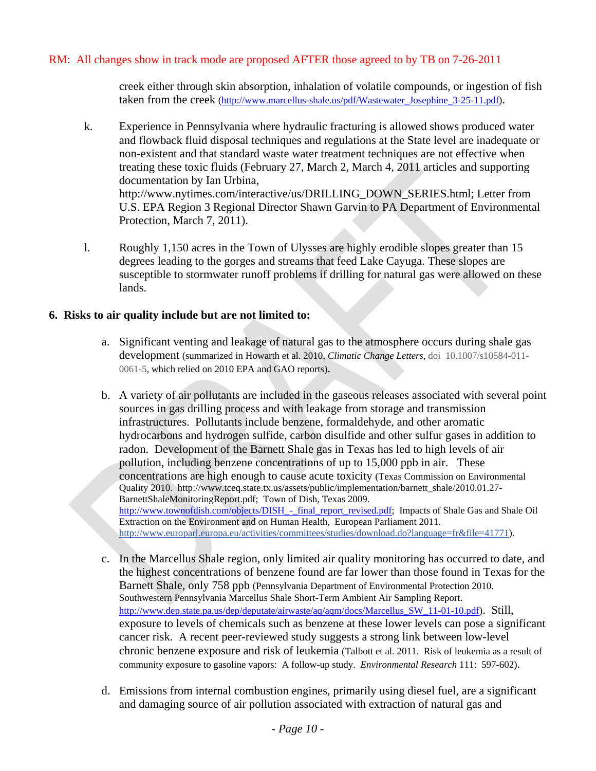creek either through skin absorption, inhalation of volatile compounds, or ingestion of fish taken from the creek (http://www.marcellus-shale.us/pdf/Wastewater Josephine 3-25-11.pdf).

- k. Experience in Pennsylvania where hydraulic fracturing is allowed shows produced water and flowback fluid disposal techniques and regulations at the State level are inadequate or non-existent and that standard waste water treatment techniques are not effective when treating these toxic fluids (February 27, March 2, March 4, 2011 articles and supporting documentation by Ian Urbina, http://www.nytimes.com/interactive/us/DRILLING\_DOWN\_SERIES.html; Letter from U.S. EPA Region 3 Regional Director Shawn Garvin to PA Department of Environmental Protection, March 7, 2011).
- l. Roughly 1,150 acres in the Town of Ulysses are highly erodible slopes greater than 15 degrees leading to the gorges and streams that feed Lake Cayuga. These slopes are susceptible to stormwater runoff problems if drilling for natural gas were allowed on these lands.

# **6. Risks to air quality include but are not limited to:**

- a. Significant venting and leakage of natural gas to the atmosphere occurs during shale gas development (summarized in Howarth et al. 2010, *Climatic Change Letters*, doi 10.1007/s10584-011- 0061-5, which relied on 2010 EPA and GAO reports).
- b. A variety of air pollutants are included in the gaseous releases associated with several point sources in gas drilling process and with leakage from storage and transmission infrastructures. Pollutants include benzene, formaldehyde, and other aromatic hydrocarbons and hydrogen sulfide, carbon disulfide and other sulfur gases in addition to radon. Development of the Barnett Shale gas in Texas has led to high levels of air pollution, including benzene concentrations of up to 15,000 ppb in air. These concentrations are high enough to cause acute toxicity (Texas Commission on Environmental Quality 2010. http://www.tceq.state.tx.us/assets/public/implementation/barnett\_shale/2010.01.27- BarnettShaleMonitoringReport.pdf; Town of Dish, Texas 2009. http://www.townofdish.com/objects/DISH\_-\_final\_report\_revised.pdf; Impacts of Shale Gas and Shale Oil Extraction on the Environment and on Human Health, European Parliament 2011. http://www.europarl.europa.eu/activities/committees/studies/download.do?language=fr&file=41771).
- c. In the Marcellus Shale region, only limited air quality monitoring has occurred to date, and the highest concentrations of benzene found are far lower than those found in Texas for the Barnett Shale, only 758 ppb (Pennsylvania Department of Environmental Protection 2010. Southwestern Pennsylvania Marcellus Shale Short-Term Ambient Air Sampling Report. http://www.dep.state.pa.us/dep/deputate/airwaste/aq/aqm/docs/Marcellus\_SW\_11-01-10.pdf). Still, exposure to levels of chemicals such as benzene at these lower levels can pose a significant cancer risk. A recent peer-reviewed study suggests a strong link between low-level chronic benzene exposure and risk of leukemia (Talbott et al. 2011. Risk of leukemia as a result of community exposure to gasoline vapors: A follow-up study. *Environmental Research* 111: 597-602).
- d. Emissions from internal combustion engines, primarily using diesel fuel, are a significant and damaging source of air pollution associated with extraction of natural gas and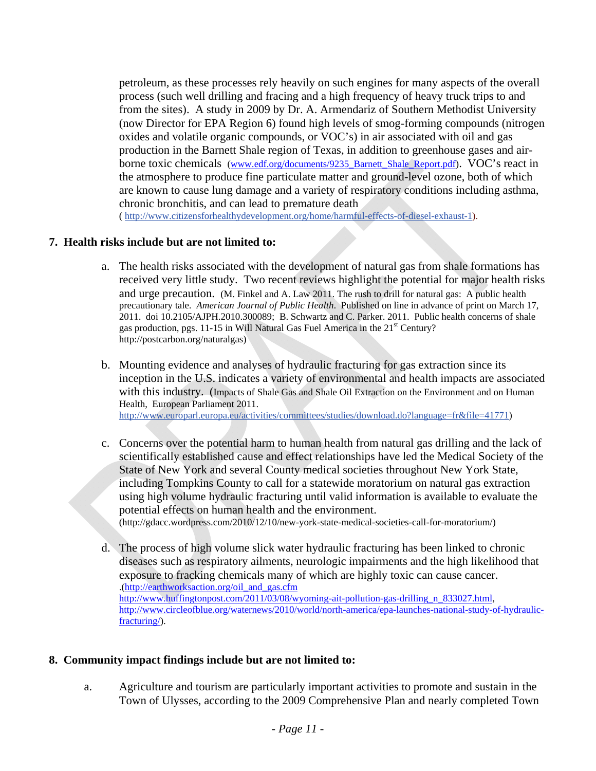petroleum, as these processes rely heavily on such engines for many aspects of the overall process (such well drilling and fracing and a high frequency of heavy truck trips to and from the sites). A study in 2009 by Dr. A. Armendariz of Southern Methodist University (now Director for EPA Region 6) found high levels of smog-forming compounds (nitrogen oxides and volatile organic compounds, or VOC's) in air associated with oil and gas production in the Barnett Shale region of Texas, in addition to greenhouse gases and airborne toxic chemicals (www.edf.org/documents/9235\_Barnett\_Shale\_Report.pdf). VOC's react in the atmosphere to produce fine particulate matter and ground-level ozone, both of which are known to cause lung damage and a variety of respiratory conditions including asthma, chronic bronchitis, and can lead to premature death ( http://www.citizensforhealthydevelopment.org/home/harmful-effects-of-diesel-exhaust-1).

#### **7. Health risks include but are not limited to:**

- a. The health risks associated with the development of natural gas from shale formations has received very little study. Two recent reviews highlight the potential for major health risks and urge precaution. (M. Finkel and A. Law 2011. The rush to drill for natural gas: A public health precautionary tale. *American Journal of Public Health*. Published on line in advance of print on March 17, 2011. doi 10.2105/AJPH.2010.300089; B. Schwartz and C. Parker. 2011. Public health concerns of shale gas production, pgs. 11-15 in Will Natural Gas Fuel America in the 21<sup>st</sup> Century? http://postcarbon.org/naturalgas)
- b. Mounting evidence and analyses of hydraulic fracturing for gas extraction since its inception in the U.S. indicates a variety of environmental and health impacts are associated with this industry. (Impacts of Shale Gas and Shale Oil Extraction on the Environment and on Human Health, European Parliament 2011. http://www.europarl.europa.eu/activities/committees/studies/download.do?language=fr&file=41771)
- c. Concerns over the potential harm to human health from natural gas drilling and the lack of scientifically established cause and effect relationships have led the Medical Society of the State of New York and several County medical societies throughout New York State, including Tompkins County to call for a statewide moratorium on natural gas extraction using high volume hydraulic fracturing until valid information is available to evaluate the potential effects on human health and the environment. (http://gdacc.wordpress.com/2010/12/10/new-york-state-medical-societies-call-for-moratorium/)
- d. The process of high volume slick water hydraulic fracturing has been linked to chronic diseases such as respiratory ailments, neurologic impairments and the high likelihood that exposure to fracking chemicals many of which are highly toxic can cause cancer. .(http://earthworksaction.org/oil\_and\_gas.cfm http://www.huffingtonpost.com/2011/03/08/wyoming-ait-pollution-gas-drilling n 833027.html, http://www.circleofblue.org/waternews/2010/world/north-america/epa-launches-national-study-of-hydraulicfracturing/).

#### **8. Community impact findings include but are not limited to:**

a. Agriculture and tourism are particularly important activities to promote and sustain in the Town of Ulysses, according to the 2009 Comprehensive Plan and nearly completed Town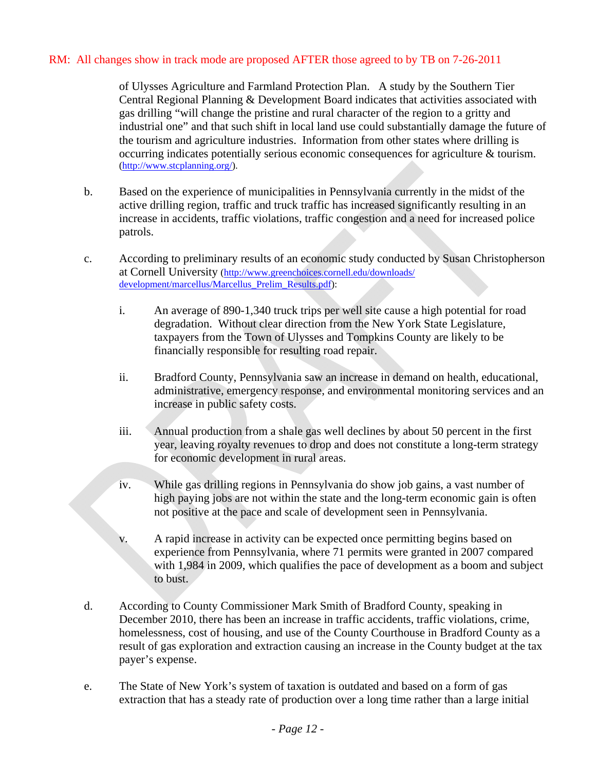of Ulysses Agriculture and Farmland Protection Plan. A study by the Southern Tier Central Regional Planning & Development Board indicates that activities associated with gas drilling "will change the pristine and rural character of the region to a gritty and industrial one" and that such shift in local land use could substantially damage the future of the tourism and agriculture industries. Information from other states where drilling is occurring indicates potentially serious economic consequences for agriculture & tourism. (http://www.stcplanning.org/).

- b. Based on the experience of municipalities in Pennsylvania currently in the midst of the active drilling region, traffic and truck traffic has increased significantly resulting in an increase in accidents, traffic violations, traffic congestion and a need for increased police patrols.
- c. According to preliminary results of an economic study conducted by Susan Christopherson at Cornell University (http://www.greenchoices.cornell.edu/downloads/ development/marcellus/Marcellus\_Prelim\_Results.pdf):
	- i. An average of 890-1,340 truck trips per well site cause a high potential for road degradation. Without clear direction from the New York State Legislature, taxpayers from the Town of Ulysses and Tompkins County are likely to be financially responsible for resulting road repair.
	- ii. Bradford County, Pennsylvania saw an increase in demand on health, educational, administrative, emergency response, and environmental monitoring services and an increase in public safety costs.
	- iii. Annual production from a shale gas well declines by about 50 percent in the first year, leaving royalty revenues to drop and does not constitute a long-term strategy for economic development in rural areas.
	- iv. While gas drilling regions in Pennsylvania do show job gains, a vast number of high paying jobs are not within the state and the long-term economic gain is often not positive at the pace and scale of development seen in Pennsylvania.
	- v. A rapid increase in activity can be expected once permitting begins based on experience from Pennsylvania, where 71 permits were granted in 2007 compared with 1,984 in 2009, which qualifies the pace of development as a boom and subject to bust.
- d. According to County Commissioner Mark Smith of Bradford County, speaking in December 2010, there has been an increase in traffic accidents, traffic violations, crime, homelessness, cost of housing, and use of the County Courthouse in Bradford County as a result of gas exploration and extraction causing an increase in the County budget at the tax payer's expense.
- e. The State of New York's system of taxation is outdated and based on a form of gas extraction that has a steady rate of production over a long time rather than a large initial